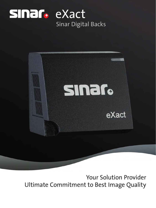



Your Solution Provider Ultimate Commitment to Best Image Quality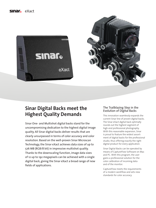





# **Sinar Digital Backs meet the Highest Quality Demands**

Sinar One- and Multishot digital backs stand for the uncompromising dedication to the highest digital image quality. All Sinar digital backs deliver results that are clearly unsurpassed in terms of color accuracy and color resolution. Based on the well-proven Sinar Microscan Technology, the Sinar eXact achieves data sizes of up to 576 MB (RGB/8 bit) in impressive multishot quality. Thanks to the downscaling function, image data sizes of 12 up to 192 megapixels can be achieved with a single digital back, giving the Sinar eXact a broad range of new fields of applications.

#### The Trailblazing Step in the Evolution of Digital Backs

This innovation seamlessly expands the current Sinar line of proven digital backs. The Sinar eXact digital back optimally rounds out the highest segment of high-end professional photography. With this reasonable expansion, Sinar is proud to feature the widest assortment of digital backs for the professional studio, thus offering exactly the right digital product for every application.

Sinar Digital Backs can be operated by means of CaptureFlow Software on Mac and PC. With this program, the user gains a professional solution for the color calibration of incoming data and of the monitor.

CaptureFlow meets the requirements of a modern workflow and sets new standards for color accuracy.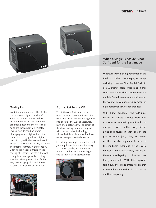## Sinar<sub>e</sub> eXact





#### When a Single Exposure is not Sufficient for the Best Image

Wherever work is being performed in the field of still-life photography or image archiving, there are Sinar Digital Backs in use. Multishot backs produce 4x higher color resolution than simple Oneshot models. Such differences are obvious and they cannot be compensated by means of high-performance Oneshot products.

With 4-shot exposures, the CCD pixel matrix is shifted 3-times from one exposure to the next by exact width of one pixel raster, so that every picture point is captured in each one of the primary colors (red, blue, 2x green). Another decisive argument in favor of the multishot technique is the clearly reduced Moiré effect, which, because of the controlled layering of colors, becomes barely noticeable. With this exposure technique, the image interpolation that is needed with oneshot backs, can be omitted completely.

# Quality First

In addition to numerous other factors, the renowned highest quality of Sinar Digital Backs is due to their uncompromised design. Components generating heat and therefore color noise are consequently eliminated. Focusing on demanding studio photography and digitizations of all kinds, Sinar today produces digital backs that yield hitherto unachieved image quality without display, batteries and internal storage. In this context, Sinar places great emphasis on the cooling of sensors. Therefore, the well thought-out 2-stage active cooling is an important precondition for the very best image quality and it also assures the longevity of the product.



#### From 12 MP to 192 MP

This is the very first time that a manufacturer offers a unique digital back that covers the entire range from packshots all the way to absolutely high-end photography. The option of the downscaling function, coupled with the multishot technology allows flexible applications that have never been possible before now.

Everything in a single product, so that your requirements are met for every assignment, today and tomorrow. And that in the familiar Sinar highend quality in all its applications!